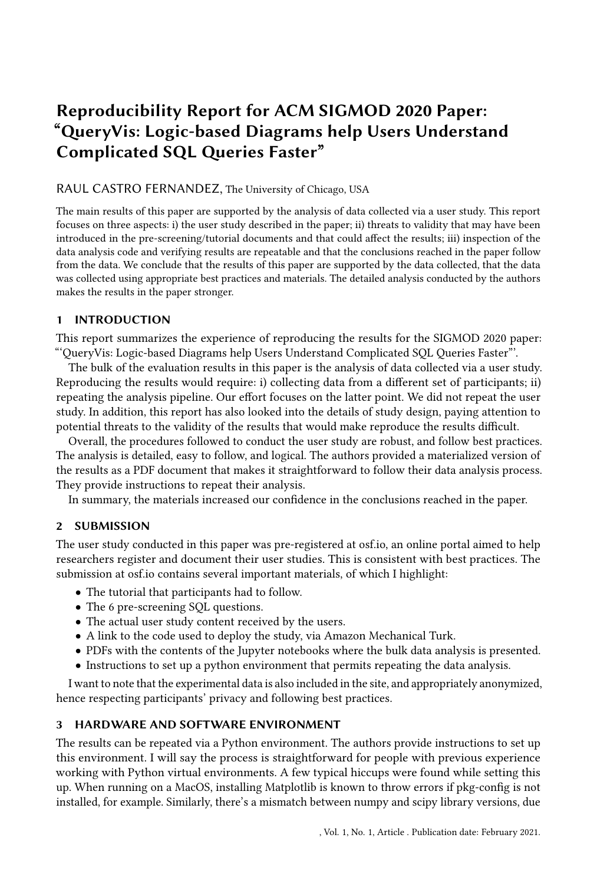# Reproducibility Report for ACM SIGMOD 2020 Paper: "QueryVis: Logic-based Diagrams help Users Understand Complicated SQL Queries Faster"

# RAUL CASTRO FERNANDEZ, The University of Chicago, USA

The main results of this paper are supported by the analysis of data collected via a user study. This report focuses on three aspects: i) the user study described in the paper; ii) threats to validity that may have been introduced in the pre-screening/tutorial documents and that could affect the results; iii) inspection of the data analysis code and verifying results are repeatable and that the conclusions reached in the paper follow from the data. We conclude that the results of this paper are supported by the data collected, that the data was collected using appropriate best practices and materials. The detailed analysis conducted by the authors makes the results in the paper stronger.

# 1 INTRODUCTION

This report summarizes the experience of reproducing the results for the SIGMOD 2020 paper: "'QueryVis: Logic-based Diagrams help Users Understand Complicated SQL Queries Faster"'.

The bulk of the evaluation results in this paper is the analysis of data collected via a user study. Reproducing the results would require: i) collecting data from a different set of participants; ii) repeating the analysis pipeline. Our effort focuses on the latter point. We did not repeat the user study. In addition, this report has also looked into the details of study design, paying attention to potential threats to the validity of the results that would make reproduce the results difficult.

Overall, the procedures followed to conduct the user study are robust, and follow best practices. The analysis is detailed, easy to follow, and logical. The authors provided a materialized version of the results as a PDF document that makes it straightforward to follow their data analysis process. They provide instructions to repeat their analysis.

In summary, the materials increased our confidence in the conclusions reached in the paper.

# 2 SUBMISSION

The user study conducted in this paper was pre-registered at osf.io, an online portal aimed to help researchers register and document their user studies. This is consistent with best practices. The submission at osf.io contains several important materials, of which I highlight:

- The tutorial that participants had to follow.
- The 6 pre-screening SQL questions.
- The actual user study content received by the users.
- A link to the code used to deploy the study, via Amazon Mechanical Turk.
- PDFs with the contents of the Jupyter notebooks where the bulk data analysis is presented.
- Instructions to set up a python environment that permits repeating the data analysis.

I want to note that the experimental data is also included in the site, and appropriately anonymized, hence respecting participants' privacy and following best practices.

# 3 HARDWARE AND SOFTWARE ENVIRONMENT

The results can be repeated via a Python environment. The authors provide instructions to set up this environment. I will say the process is straightforward for people with previous experience working with Python virtual environments. A few typical hiccups were found while setting this up. When running on a MacOS, installing Matplotlib is known to throw errors if pkg-config is not installed, for example. Similarly, there's a mismatch between numpy and scipy library versions, due